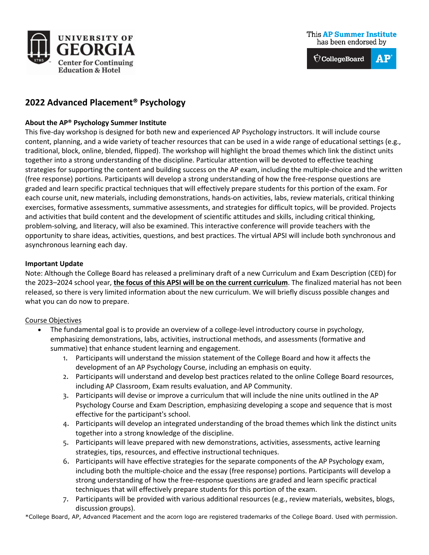

# **2022 Advanced Placement® Psychology**

#### **About the AP® Psychology Summer Institute**

This five-day workshop is designed for both new and experienced AP Psychology instructors. It will include course content, planning, and a wide variety of teacher resources that can be used in a wide range of educational settings (e.g., traditional, block, online, blended, flipped). The workshop will highlight the broad themes which link the distinct units together into a strong understanding of the discipline. Particular attention will be devoted to effective teaching strategies for supporting the content and building success on the AP exam, including the multiple-choice and the written (free response) portions. Participants will develop a strong understanding of how the free-response questions are graded and learn specific practical techniques that will effectively prepare students for this portion of the exam. For each course unit, new materials, including demonstrations, hands-on activities, labs, review materials, critical thinking exercises, formative assessments, summative assessments, and strategies for difficult topics, will be provided. Projects and activities that build content and the development of scientific attitudes and skills, including critical thinking, problem-solving, and literacy, will also be examined. This interactive conference will provide teachers with the opportunity to share ideas, activities, questions, and best practices. The virtual APSI will include both synchronous and asynchronous learning each day.

#### **Important Update**

Note: Although the College Board has released a preliminary draft of a new Curriculum and Exam Description (CED) for the 2023–2024 school year, **the focus of this APSI will be on the current curriculum**. The finalized material has not been released, so there is very limited information about the new curriculum. We will briefly discuss possible changes and what you can do now to prepare.

#### Course Objectives

- The fundamental goal is to provide an overview of a college-level introductory course in psychology, emphasizing demonstrations, labs, activities, instructional methods, and assessments (formative and summative) that enhance student learning and engagement.
	- 1. Participants will understand the mission statement of the College Board and how it affects the development of an AP Psychology Course, including an emphasis on equity.
	- 2. Participants will understand and develop best practices related to the online College Board resources, including AP Classroom, Exam results evaluation, and AP Community.
	- 3. Participants will devise or improve a curriculum that will include the nine units outlined in the AP Psychology Course and Exam Description, emphasizing developing a scope and sequence that is most effective for the participant's school.
	- 4. Participants will develop an integrated understanding of the broad themes which link the distinct units together into a strong knowledge of the discipline.
	- 5. Participants will leave prepared with new demonstrations, activities, assessments, active learning strategies, tips, resources, and effective instructional techniques.
	- 6. Participants will have effective strategies for the separate components of the AP Psychology exam, including both the multiple-choice and the essay (free response) portions. Participants will develop a strong understanding of how the free-response questions are graded and learn specific practical techniques that will effectively prepare students for this portion of the exam.
	- 7. Participants will be provided with various additional resources (e.g., review materials, websites, blogs, discussion groups).

\*College Board, AP, Advanced Placement and the acorn logo are registered trademarks of the College Board. Used with permission.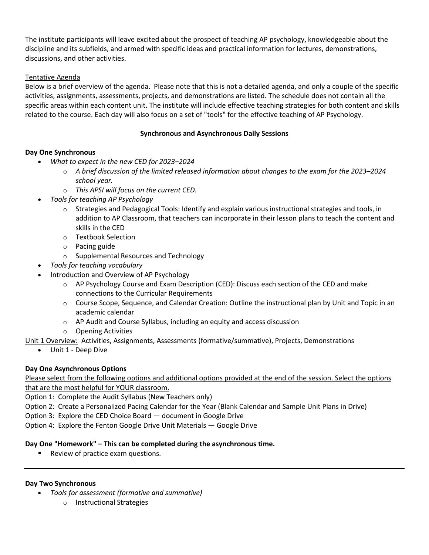The institute participants will leave excited about the prospect of teaching AP psychology, knowledgeable about the discipline and its subfields, and armed with specific ideas and practical information for lectures, demonstrations, discussions, and other activities.

## Tentative Agenda

Below is a brief overview of the agenda. Please note that this is not a detailed agenda, and only a couple of the specific activities, assignments, assessments, projects, and demonstrations are listed. The schedule does not contain all the specific areas within each content unit. The institute will include effective teaching strategies for both content and skills related to the course. Each day will also focus on a set of "tools" for the effective teaching of AP Psychology.

## **Synchronous and Asynchronous Daily Sessions**

## **Day One Synchronous**

- *What to expect in the new CED for 2023–2024*
	- o *A brief discussion of the limited released information about changes to the exam for the 2023–2024 school year.*
	- o *This APSI will focus on the current CED.*
- *Tools for teaching AP Psychology*
	- $\circ$  Strategies and Pedagogical Tools: Identify and explain various instructional strategies and tools, in addition to AP Classroom, that teachers can incorporate in their lesson plans to teach the content and skills in the CED
	- o Textbook Selection
	- o Pacing guide
	- o Supplemental Resources and Technology
- *Tools for teaching vocabulary*
- Introduction and Overview of AP Psychology
	- $\circ$  AP Psychology Course and Exam Description (CED): Discuss each section of the CED and make connections to the Curricular Requirements
	- $\circ$  Course Scope, Sequence, and Calendar Creation: Outline the instructional plan by Unit and Topic in an academic calendar
	- o AP Audit and Course Syllabus, including an equity and access discussion
	- o Opening Activities

Unit 1 Overview: Activities, Assignments, Assessments (formative/summative), Projects, Demonstrations

• Unit 1 - Deep Dive

## **Day One Asynchronous Options**

Please select from the following options and additional options provided at the end of the session. Select the options that are the most helpful for YOUR classroom.

Option 1: Complete the Audit Syllabus (New Teachers only)

Option 2: Create a Personalized Pacing Calendar for the Year (Blank Calendar and Sample Unit Plans in Drive)

Option 3: Explore the CED Choice Board — document in Google Drive

Option 4: Explore the Fenton Google Drive Unit Materials — Google Drive

## **Day One "Homework" – This can be completed during the asynchronous time.**

Review of practice exam questions.

## **Day Two Synchronous**

- *Tools for assessment (formative and summative)*
	- o Instructional Strategies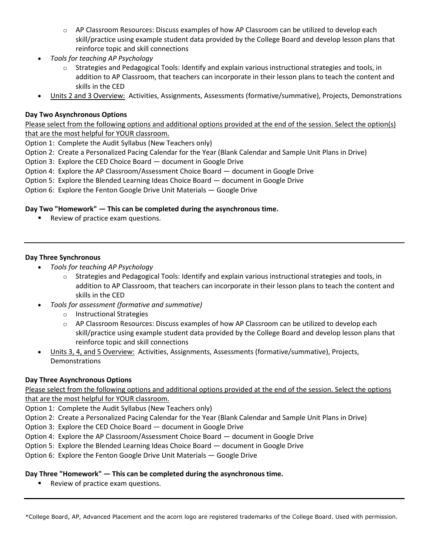- o AP Classroom Resources: Discuss examples of how AP Classroom can be utilized to develop each skill/practice using example student data provided by the College Board and develop lesson plans that reinforce topic and skill connections
- *Tools for teaching AP Psychology*
	- $\circ$  Strategies and Pedagogical Tools: Identify and explain various instructional strategies and tools, in addition to AP Classroom, that teachers can incorporate in their lesson plans to teach the content and skills in the CED
- Units 2 and 3 Overview: Activities, Assignments, Assessments (formative/summative), Projects, Demonstrations

#### **Day Two Asynchronous Options**

Please select from the following options and additional options provided at the end of the session. Select the option(s) that are the most helpful for YOUR classroom.

Option 1: Complete the Audit Syllabus (New Teachers only)

Option 2: Create a Personalized Pacing Calendar for the Year (Blank Calendar and Sample Unit Plans in Drive)

Option 3: Explore the CED Choice Board — document in Google Drive

Option 4: Explore the AP Classroom/Assessment Choice Board — document in Google Drive

Option 5: Explore the Blended Learning Ideas Choice Board — document in Google Drive

Option 6: Explore the Fenton Google Drive Unit Materials — Google Drive

### **Day Two "Homework" — This can be completed during the asynchronous time.**

Review of practice exam questions.

### **Day Three Synchronous**

- *Tools for teaching AP Psychology*
	- o Strategies and Pedagogical Tools: Identify and explain various instructional strategies and tools, in addition to AP Classroom, that teachers can incorporate in their lesson plans to teach the content and skills in the CED
- *Tools for assessment (formative and summative)*
	- o Instructional Strategies
	- $\circ$  AP Classroom Resources: Discuss examples of how AP Classroom can be utilized to develop each skill/practice using example student data provided by the College Board and develop lesson plans that reinforce topic and skill connections
- Units 3, 4, and 5 Overview: Activities, Assignments, Assessments (formative/summative), Projects, Demonstrations

## **Day Three Asynchronous Options**

Please select from the following options and additional options provided at the end of the session. Select the options that are the most helpful for YOUR classroom.

Option 1: Complete the Audit Syllabus (New Teachers only)

Option 2: Create a Personalized Pacing Calendar for the Year (Blank Calendar and Sample Unit Plans in Drive)

Option 3: Explore the CED Choice Board — document in Google Drive

Option 4: Explore the AP Classroom/Assessment Choice Board — document in Google Drive

Option 5: Explore the Blended Learning Ideas Choice Board — document in Google Drive

Option 6: Explore the Fenton Google Drive Unit Materials — Google Drive

#### **Day Three "Homework" — This can be completed during the asynchronous time.**

**Review of practice exam questions.**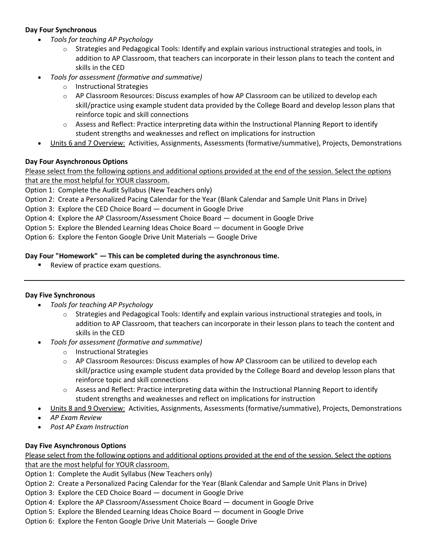### **Day Four Synchronous**

- *Tools for teaching AP Psychology*
	- $\circ$  Strategies and Pedagogical Tools: Identify and explain various instructional strategies and tools, in addition to AP Classroom, that teachers can incorporate in their lesson plans to teach the content and skills in the CED
- *Tools for assessment (formative and summative)*
	- o Instructional Strategies
	- $\circ$  AP Classroom Resources: Discuss examples of how AP Classroom can be utilized to develop each skill/practice using example student data provided by the College Board and develop lesson plans that reinforce topic and skill connections
	- $\circ$  Assess and Reflect: Practice interpreting data within the Instructional Planning Report to identify student strengths and weaknesses and reflect on implications for instruction
- Units 6 and 7 Overview: Activities, Assignments, Assessments (formative/summative), Projects, Demonstrations

### **Day Four Asynchronous Options**

Please select from the following options and additional options provided at the end of the session. Select the options that are the most helpful for YOUR classroom.

Option 1: Complete the Audit Syllabus (New Teachers only)

Option 2: Create a Personalized Pacing Calendar for the Year (Blank Calendar and Sample Unit Plans in Drive)

Option 3: Explore the CED Choice Board — document in Google Drive

Option 4: Explore the AP Classroom/Assessment Choice Board — document in Google Drive

Option 5: Explore the Blended Learning Ideas Choice Board — document in Google Drive

Option 6: Explore the Fenton Google Drive Unit Materials — Google Drive

### **Day Four "Homework" — This can be completed during the asynchronous time.**

Review of practice exam questions.

#### **Day Five Synchronous**

- *Tools for teaching AP Psychology*
	- $\circ$  Strategies and Pedagogical Tools: Identify and explain various instructional strategies and tools, in addition to AP Classroom, that teachers can incorporate in their lesson plans to teach the content and skills in the CED
- *Tools for assessment (formative and summative)*
	- o Instructional Strategies
	- $\circ$  AP Classroom Resources: Discuss examples of how AP Classroom can be utilized to develop each skill/practice using example student data provided by the College Board and develop lesson plans that reinforce topic and skill connections
	- $\circ$  Assess and Reflect: Practice interpreting data within the Instructional Planning Report to identify student strengths and weaknesses and reflect on implications for instruction
- Units 8 and 9 Overview: Activities, Assignments, Assessments (formative/summative), Projects, Demonstrations
- *AP Exam Review*
- *Post AP Exam Instruction*

#### **Day Five Asynchronous Options**

Please select from the following options and additional options provided at the end of the session. Select the options that are the most helpful for YOUR classroom.

Option 1: Complete the Audit Syllabus (New Teachers only)

- Option 2: Create a Personalized Pacing Calendar for the Year (Blank Calendar and Sample Unit Plans in Drive)
- Option 3: Explore the CED Choice Board document in Google Drive
- Option 4: Explore the AP Classroom/Assessment Choice Board document in Google Drive
- Option 5: Explore the Blended Learning Ideas Choice Board document in Google Drive
- Option 6: Explore the Fenton Google Drive Unit Materials Google Drive